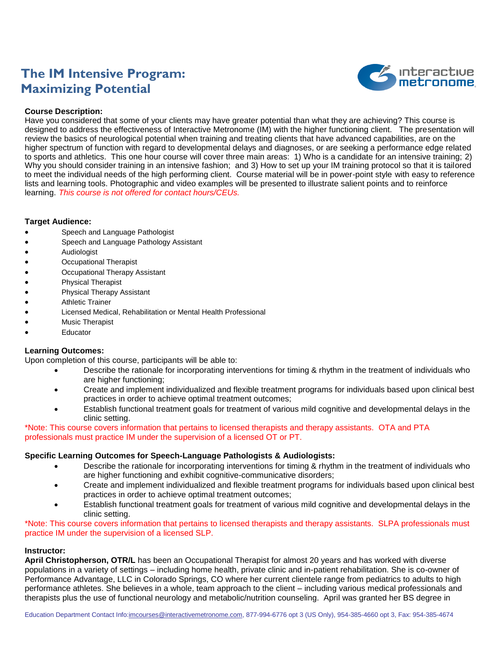# **The IM Intensive Program: Maximizing Potential**



#### **Course Description:**

Have you considered that some of your clients may have greater potential than what they are achieving? This course is designed to address the effectiveness of Interactive Metronome (IM) with the higher functioning client. The presentation will review the basics of neurological potential when training and treating clients that have advanced capabilities, are on the higher spectrum of function with regard to developmental delays and diagnoses, or are seeking a performance edge related to sports and athletics. This one hour course will cover three main areas: 1) Who is a candidate for an intensive training; 2) Why you should consider training in an intensive fashion; and 3) How to set up your IM training protocol so that it is tailored to meet the individual needs of the high performing client. Course material will be in power-point style with easy to reference lists and learning tools. Photographic and video examples will be presented to illustrate salient points and to reinforce learning. *This course is not offered for contact hours/CEUs.*

#### **Target Audience:**

- Speech and Language Pathologist
- Speech and Language Pathology Assistant
- Audiologist
- Occupational Therapist
- Occupational Therapy Assistant
- Physical Therapist
- Physical Therapy Assistant
- Athletic Trainer
- Licensed Medical, Rehabilitation or Mental Health Professional
- Music Therapist
- Educator

### **Learning Outcomes:**

Upon completion of this course, participants will be able to:

- Describe the rationale for incorporating interventions for timing & rhythm in the treatment of individuals who are higher functioning;
- Create and implement individualized and flexible treatment programs for individuals based upon clinical best practices in order to achieve optimal treatment outcomes;
- Establish functional treatment goals for treatment of various mild cognitive and developmental delays in the clinic setting.

\*Note: This course covers information that pertains to licensed therapists and therapy assistants. OTA and PTA professionals must practice IM under the supervision of a licensed OT or PT.

#### **Specific Learning Outcomes for Speech-Language Pathologists & Audiologists:**

- Describe the rationale for incorporating interventions for timing & rhythm in the treatment of individuals who are higher functioning and exhibit cognitive-communicative disorders;
- Create and implement individualized and flexible treatment programs for individuals based upon clinical best practices in order to achieve optimal treatment outcomes;
- Establish functional treatment goals for treatment of various mild cognitive and developmental delays in the clinic setting.

\*Note: This course covers information that pertains to licensed therapists and therapy assistants. SLPA professionals must practice IM under the supervision of a licensed SLP.

#### **Instructor:**

**April Christopherson, OTR/L** has been an Occupational Therapist for almost 20 years and has worked with diverse populations in a variety of settings – including home health, private clinic and in-patient rehabilitation. She is co-owner of Performance Advantage, LLC in Colorado Springs, CO where her current clientele range from pediatrics to adults to high performance athletes. She believes in a whole, team approach to the client – including various medical professionals and therapists plus the use of functional neurology and metabolic/nutrition counseling. April was granted her BS degree in